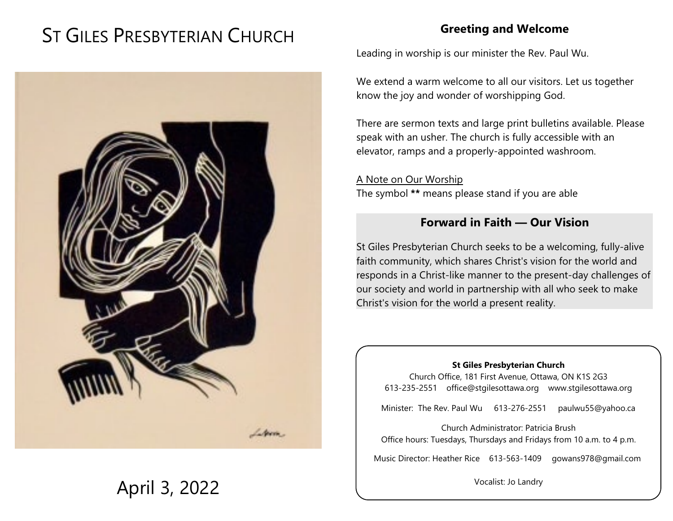# ST GILES PRESBYTERIAN CHURCH



April 3, 2022

# **Greeting and Welcome**

Leading in worship is our minister the Rev. Paul Wu.

We extend a warm welcome to all our visitors. Let us together know the joy and wonder of worshipping God.

There are sermon texts and large print bulletins available. Please speak with an usher. The church is fully accessible with an elevator, ramps and a properly-appointed washroom.

A Note on Our Worship The symbol **\*\*** means please stand if you are able

# **Forward in Faith — Our Vision**

St Giles Presbyterian Church seeks to be a welcoming, fully-alive faith community, which shares Christ's vision for the world and responds in a Christ-like manner to the present-day challenges of our society and world in partnership with all who seek to make Christ's vision for the world a present reality.

#### **St Giles Presbyterian Church**

Church Office, 181 First Avenue, Ottawa, ON K1S 2G3 613-235-2551 office@stgilesottawa.org www.stgilesottawa.org

Minister: The Rev. Paul Wu 613-276-2551 paulwu55@yahoo.ca

Church Administrator: Patricia Brush Office hours: Tuesdays, Thursdays and Fridays from 10 a.m. to 4 p.m.

Music Director: Heather Rice 613-563-1409 gowans978@gmail.com

Vocalist: Jo Landry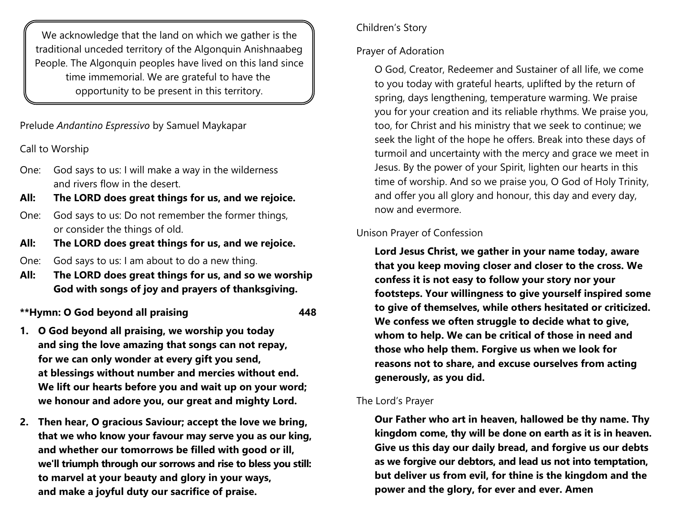We acknowledge that the land on which we gather is the traditional unceded territory of the Algonquin Anishnaabeg People. The Algonquin peoples have lived on this land since time immemorial. We are grateful to have the opportunity to be present in this territory.

Prelude *Andantino Espressivo* by Samuel Maykapar

Call to Worship

- One: God says to us: I will make a way in the wilderness and rivers flow in the desert.
- **All: The LORD does great things for us, and we rejoice.**
- One: God says to us: Do not remember the former things, or consider the things of old.
- **All: The LORD does great things for us, and we rejoice.**
- One: God says to us: I am about to do a new thing.
- **All: The LORD does great things for us, and so we worship God with songs of joy and prayers of thanksgiving.**
- **\*\*Hymn: O God beyond all praising 448**
	-
- **1. O God beyond all praising, we worship you today and sing the love amazing that songs can not repay, for we can only wonder at every gift you send, at blessings without number and mercies without end. We lift our hearts before you and wait up on your word; we honour and adore you, our great and mighty Lord.**
- **2. Then hear, O gracious Saviour; accept the love we bring, that we who know your favour may serve you as our king, and whether our tomorrows be filled with good or ill, we'll triumph through our sorrows and rise to bless you still: to marvel at your beauty and glory in your ways, and make a joyful duty our sacrifice of praise.**

## Children's Story

#### Prayer of Adoration

O God, Creator, Redeemer and Sustainer of all life, we come to you today with grateful hearts, uplifted by the return of spring, days lengthening, temperature warming. We praise you for your creation and its reliable rhythms. We praise you, too, for Christ and his ministry that we seek to continue; we seek the light of the hope he offers. Break into these days of turmoil and uncertainty with the mercy and grace we meet in Jesus. By the power of your Spirit, lighten our hearts in this time of worship. And so we praise you, O God of Holy Trinity, and offer you all glory and honour, this day and every day, now and evermore.

#### Unison Prayer of Confession

**Lord Jesus Christ, we gather in your name today, aware that you keep moving closer and closer to the cross. We confess it is not easy to follow your story nor your footsteps. Your willingness to give yourself inspired some to give of themselves, while others hesitated or criticized. We confess we often struggle to decide what to give, whom to help. We can be critical of those in need and those who help them. Forgive us when we look for reasons not to share, and excuse ourselves from acting generously, as you did.**

#### The Lord's Prayer

**Our Father who art in heaven, hallowed be thy name. Thy kingdom come, thy will be done on earth as it is in heaven. Give us this day our daily bread, and forgive us our debts as we forgive our debtors, and lead us not into temptation, but deliver us from evil, for thine is the kingdom and the power and the glory, for ever and ever. Amen**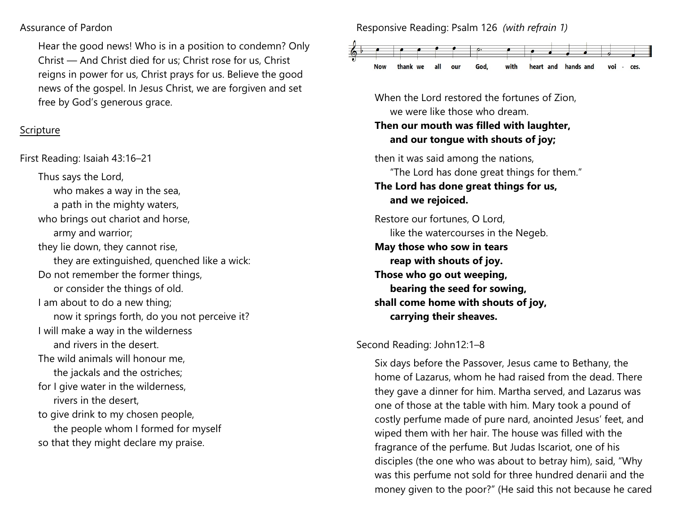Assurance of Pardon

Hear the good news! Who is in a position to condemn? Only Christ — And Christ died for us; Christ rose for us, Christ reigns in power for us, Christ prays for us. Believe the good news of the gospel. In Jesus Christ, we are forgiven and set free by God's generous grace.

#### Scripture

First Reading: Isaiah 43:16–21

Thus says the Lord, who makes a way in the sea, a path in the mighty waters, who brings out chariot and horse, army and warrior; they lie down, they cannot rise, they are extinguished, quenched like a wick: Do not remember the former things, or consider the things of old. I am about to do a new thing; now it springs forth, do you not perceive it? I will make a way in the wilderness and rivers in the desert. The wild animals will honour me, the jackals and the ostriches; for I give water in the wilderness, rivers in the desert, to give drink to my chosen people, the people whom I formed for myself so that they might declare my praise.

Responsive Reading: Psalm 126 *(with refrain 1)*



When the Lord restored the fortunes of Zion, we were like those who dream.

### **Then our mouth was filled with laughter, and our tongue with shouts of joy;**

then it was said among the nations, "The Lord has done great things for them." **The Lord has done great things for us,**

# **and we rejoiced.**

Restore our fortunes, O Lord, like the watercourses in the Negeb. **May those who sow in tears reap with shouts of joy. Those who go out weeping, bearing the seed for sowing, shall come home with shouts of joy, carrying their sheaves.**

#### Second Reading: John12:1–8

Six days before the Passover, Jesus came to Bethany, the home of Lazarus, whom he had raised from the dead. There they gave a dinner for him. Martha served, and Lazarus was one of those at the table with him. Mary took a pound of costly perfume made of pure nard, anointed Jesus' feet, and wiped them with her hair. The house was filled with the fragrance of the perfume. But Judas Iscariot, one of his disciples (the one who was about to betray him), said, "Why was this perfume not sold for three hundred denarii and the money given to the poor?" (He said this not because he cared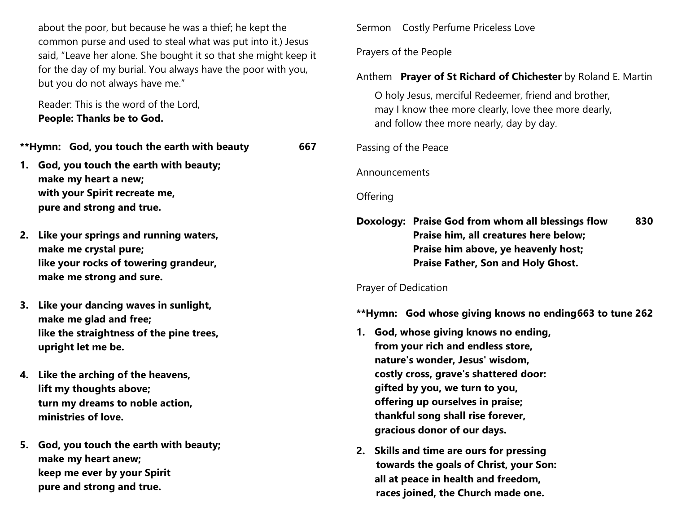about the poor, but because he was a thief; he kept the common purse and used to steal what was put into it.) Jesus said, "Leave her alone. She bought it so that she might keep it for the day of my burial. You always have the poor with you, but you do not always have me."

Reader: This is the word of the Lord, **People: Thanks be to God.**

**\*\*Hymn: God, you touch the earth with beauty 667**

- **1. God, you touch the earth with beauty; make my heart a new; with your Spirit recreate me, pure and strong and true.**
- **2. Like your springs and running waters, make me crystal pure; like your rocks of towering grandeur, make me strong and sure.**
- **3. Like your dancing waves in sunlight, make me glad and free; like the straightness of the pine trees, upright let me be.**
- **4. Like the arching of the heavens, lift my thoughts above; turn my dreams to noble action, ministries of love.**
- **5. God, you touch the earth with beauty; make my heart anew; keep me ever by your Spirit pure and strong and true.**

Sermon Costly Perfume Priceless Love

Prayers of the People

#### Anthem **Prayer of St Richard of Chichester** by Roland E. Martin

O holy Jesus, merciful Redeemer, friend and brother, may I know thee more clearly, love thee more dearly, and follow thee more nearly, day by day.

Passing of the Peace

Announcements

**Offering** 

**Doxology: Praise God from whom all blessings flow 830 Praise him, all creatures here below; Praise him above, ye heavenly host; Praise Father, Son and Holy Ghost.**

Prayer of Dedication

**\*\*Hymn: God whose giving knows no ending663 to tune 262**

- **1. God, whose giving knows no ending, from your rich and endless store, nature's wonder, Jesus' wisdom, costly cross, grave's shattered door: gifted by you, we turn to you, offering up ourselves in praise; thankful song shall rise forever, gracious donor of our days.**
- **2. Skills and time are ours for pressing towards the goals of Christ, your Son: all at peace in health and freedom, races joined, the Church made one.**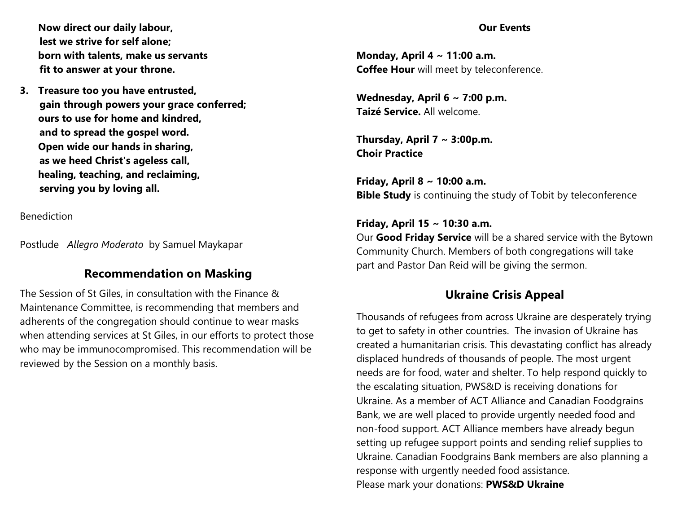**Now direct our daily labour, lest we strive for self alone; born with talents, make us servants fit to answer at your throne.**

**3. Treasure too you have entrusted, gain through powers your grace conferred; ours to use for home and kindred, and to spread the gospel word. Open wide our hands in sharing, as we heed Christ's ageless call, healing, teaching, and reclaiming, serving you by loving all.**

Benediction

Postlude *Allegro Moderato* by Samuel Maykapar

## **Recommendation on Masking**

The Session of St Giles, in consultation with the Finance & Maintenance Committee, is recommending that members and adherents of the congregation should continue to wear masks when attending services at St Giles, in our efforts to protect those who may be immunocompromised. This recommendation will be reviewed by the Session on a monthly basis.

#### **Our Events**

**Monday, April 4 ~ 11:00 a.m. Coffee Hour** will meet by teleconference.

**Wednesday, April 6 ~ 7:00 p.m. Taizé Service.** All welcome.

**Thursday, April 7 ~ 3:00p.m. Choir Practice**

**Friday, April 8 ~ 10:00 a.m. Bible Study** is continuing the study of Tobit by teleconference

#### **Friday, April 15 ~ 10:30 a.m.**

Our **Good Friday Service** will be a shared service with the Bytown Community Church. Members of both congregations will take part and Pastor Dan Reid will be giving the sermon.

# **Ukraine Crisis Appeal**

Thousands of refugees from across Ukraine are desperately trying to get to safety in other countries. The invasion of Ukraine has created a humanitarian crisis. This devastating conflict has already displaced hundreds of thousands of people. The most urgent needs are for food, water and shelter. To help respond quickly to the escalating situation, PWS&D is receiving donations for Ukraine. As a member of ACT Alliance and Canadian Foodgrains Bank, we are well placed to provide urgently needed food and non-food support. ACT Alliance members have already begun setting up refugee support points and sending relief supplies to Ukraine. Canadian Foodgrains Bank members are also planning a response with urgently needed food assistance. Please mark your donations: **PWS&D Ukraine**